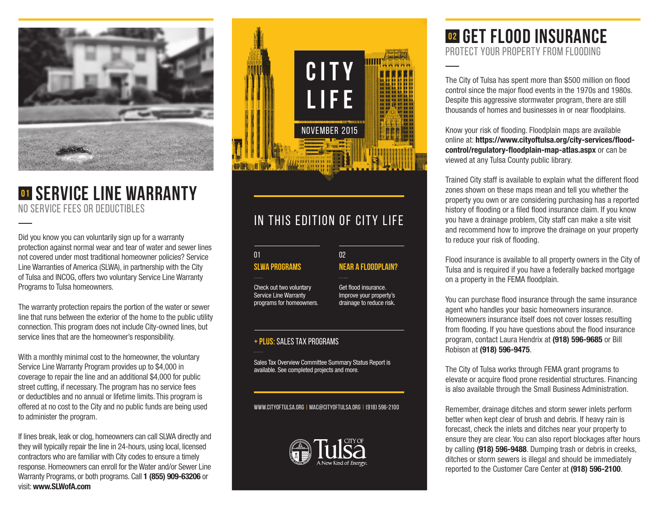

# **<sup>01</sup> Service Line Warranty**  NO SERVICE FEES OR DEDUCTIBLES

Did you know you can voluntarily sign up for a warranty protection against normal wear and tear of water and sewer lines not covered under most traditional homeowner policies? Service Line Warranties of America (SLWA), in partnership with the City of Tulsa and INCOG, offers two voluntary Service Line Warranty Programs to Tulsa homeowners.

The warranty protection repairs the portion of the water or sewer line that runs between the exterior of the home to the public utility connection. This program does not include City-owned lines, but service lines that are the homeowner's responsibility.

With a monthly minimal cost to the homeowner, the voluntary Service Line Warranty Program provides up to \$4,000 in coverage to repair the line and an additional \$4,000 for public street cutting, if necessary. The program has no service fees or deductibles and no annual or lifetime limits. This program is offered at no cost to the City and no public funds are being used to administer the program.

If lines break, leak or clog, homeowners can call SLWA directly and they will typically repair the line in 24-hours, using local, licensed contractors who are familiar with City codes to ensure a timely response. Homeowners can enroll for the Water and/or Sewer Line Warranty Programs, or both programs. Call **1 (855) 909-63206** or visit: **www.SLWofA.com**



# IN THIS EDITION OF CITY LIFE

 $0<sup>2</sup>$ 

#### **SLWA PROGRAMS** 01

Check out two voluntary Service Line Warranty programs for homeowners.

Get flood insurance. Improve your property's drainage to reduce risk.

**NEAR A FLOODPLAIN?**

#### **+ PLUS:** SALES TAX PROGRAMS

Sales Tax Overview Committee Summary Status Report is available. See completed projects and more.

www.cityoftulsa.org | mac@cityoftulsa.ORG | (918) 596-2100



## **02 Get Flood Insurance** PROTECT YOUR PROPERTY FROM FLOODING

The City of Tulsa has spent more than \$500 million on flood control since the major flood events in the 1970s and 1980s. Despite this aggressive stormwater program, there are still thousands of homes and businesses in or near floodplains.

Know your risk of flooding. Floodplain maps are available online at: **https://www.cityoftulsa.org/city-services/floodcontrol/regulatory-floodplain-map-atlas.aspx** or can be viewed at any Tulsa County public library.

Trained City staff is available to explain what the different flood zones shown on these maps mean and tell you whether the property you own or are considering purchasing has a reported history of flooding or a filed flood insurance claim. If you know you have a drainage problem, City staff can make a site visit and recommend how to improve the drainage on your property to reduce your risk of flooding.

Flood insurance is available to all property owners in the City of Tulsa and is required if you have a federally backed mortgage on a property in the FEMA floodplain.

You can purchase flood insurance through the same insurance agent who handles your basic homeowners insurance. Homeowners insurance itself does not cover losses resulting from flooding. If you have questions about the flood insurance program, contact Laura Hendrix at **(918) 596-9685** or Bill Robison at **(918) 596-9475**.

The City of Tulsa works through FEMA grant programs to elevate or acquire flood prone residential structures. Financing is also available through the Small Business Administration.

Remember, drainage ditches and storm sewer inlets perform better when kept clear of brush and debris. If heavy rain is forecast, check the inlets and ditches near your property to ensure they are clear. You can also report blockages after hours by calling **(918) 596-9488**. Dumping trash or debris in creeks, ditches or storm sewers is illegal and should be immediately reported to the Customer Care Center at **(918) 596-2100**.